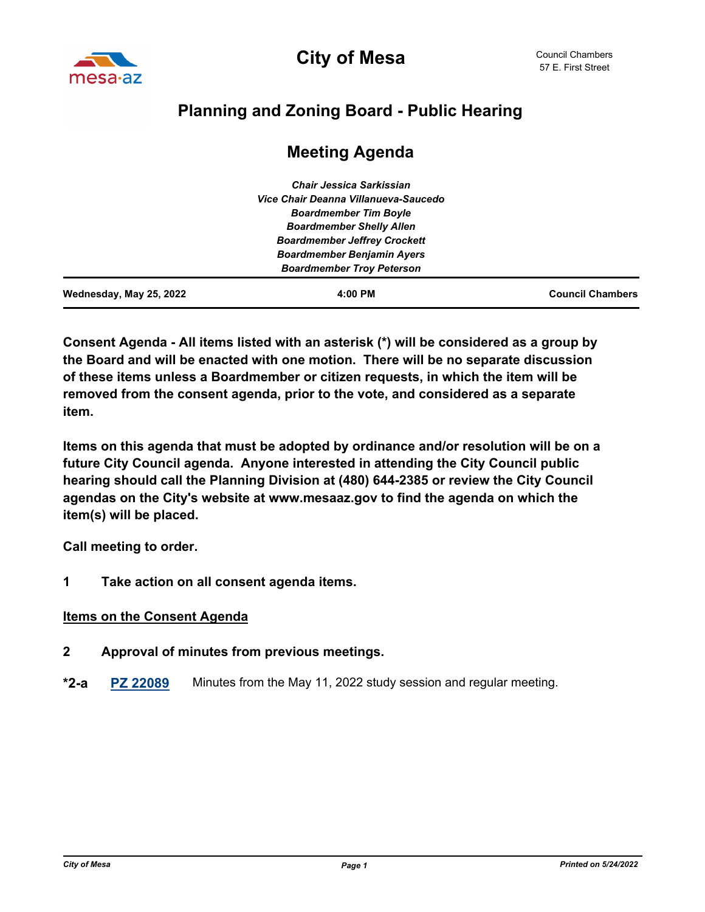

# **Planning and Zoning Board - Public Hearing**

| Wednesday, May 25, 2022 | $4:00$ PM                            | <b>Council Chambers</b> |
|-------------------------|--------------------------------------|-------------------------|
|                         | <b>Boardmember Troy Peterson</b>     |                         |
|                         | <b>Boardmember Benjamin Ayers</b>    |                         |
|                         | <b>Boardmember Jeffrey Crockett</b>  |                         |
|                         | <b>Boardmember Shelly Allen</b>      |                         |
|                         | <b>Boardmember Tim Boyle</b>         |                         |
|                         | Vice Chair Deanna Villanueva-Saucedo |                         |
|                         | Chair Jessica Sarkissian             |                         |

# **Meeting Agenda**

**Consent Agenda - All items listed with an asterisk (\*) will be considered as a group by the Board and will be enacted with one motion. There will be no separate discussion of these items unless a Boardmember or citizen requests, in which the item will be removed from the consent agenda, prior to the vote, and considered as a separate item.** 

**Items on this agenda that must be adopted by ordinance and/or resolution will be on a future City Council agenda. Anyone interested in attending the City Council public hearing should call the Planning Division at (480) 644-2385 or review the City Council agendas on the City's website at www.mesaaz.gov to find the agenda on which the item(s) will be placed.**

**Call meeting to order.**

**1 Take action on all consent agenda items.**

### **Items on the Consent Agenda**

- **2 Approval of minutes from previous meetings.**
- **\*2-a [PZ 22089](http://mesa.legistar.com/gateway.aspx?m=l&id=/matter.aspx?key=18638)** Minutes from the May 11, 2022 study session and regular meeting.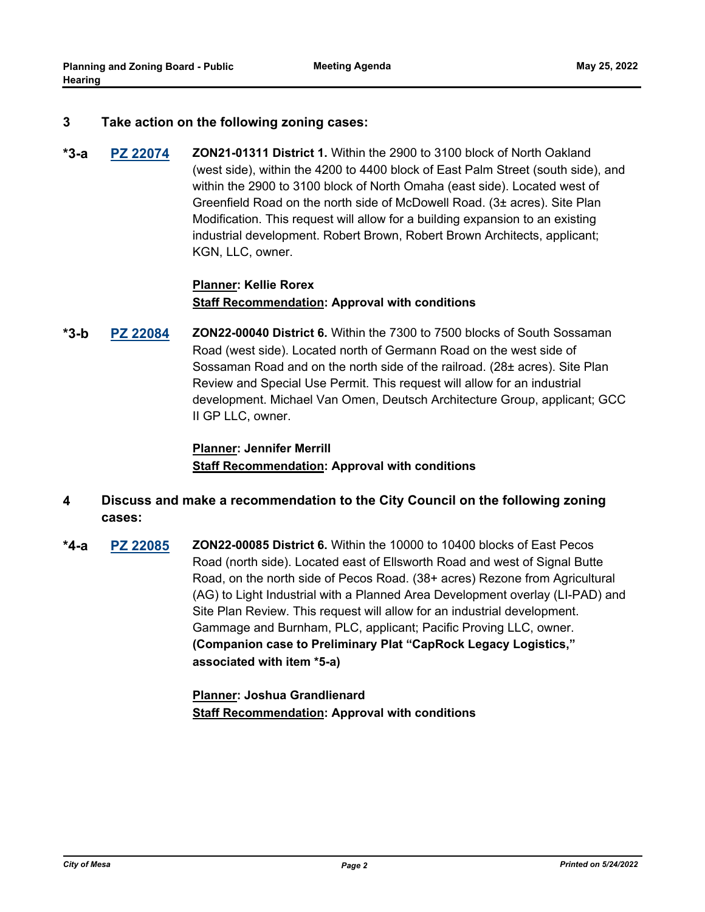#### **3 Take action on the following zoning cases:**

**[PZ 22074](http://mesa.legistar.com/gateway.aspx?m=l&id=/matter.aspx?key=18485) ZON21-01311 District 1.** Within the 2900 to 3100 block of North Oakland (west side), within the 4200 to 4400 block of East Palm Street (south side), and within the 2900 to 3100 block of North Omaha (east side). Located west of Greenfield Road on the north side of McDowell Road. (3± acres). Site Plan Modification. This request will allow for a building expansion to an existing industrial development. Robert Brown, Robert Brown Architects, applicant; KGN, LLC, owner. **\*3-a**

#### **Planner: Kellie Rorex Staff Recommendation: Approval with conditions**

**[PZ 22084](http://mesa.legistar.com/gateway.aspx?m=l&id=/matter.aspx?key=18583) ZON22-00040 District 6.** Within the 7300 to 7500 blocks of South Sossaman Road (west side). Located north of Germann Road on the west side of Sossaman Road and on the north side of the railroad. (28± acres). Site Plan Review and Special Use Permit. This request will allow for an industrial development. Michael Van Omen, Deutsch Architecture Group, applicant; GCC II GP LLC, owner. **\*3-b**

> **Planner: Jennifer Merrill Staff Recommendation: Approval with conditions**

- **4 Discuss and make a recommendation to the City Council on the following zoning cases:**
- **[PZ 22085](http://mesa.legistar.com/gateway.aspx?m=l&id=/matter.aspx?key=18585) ZON22-00085 District 6.** Within the 10000 to 10400 blocks of East Pecos Road (north side). Located east of Ellsworth Road and west of Signal Butte Road, on the north side of Pecos Road. (38+ acres) Rezone from Agricultural (AG) to Light Industrial with a Planned Area Development overlay (LI-PAD) and Site Plan Review. This request will allow for an industrial development. Gammage and Burnham, PLC, applicant; Pacific Proving LLC, owner. **(Companion case to Preliminary Plat "CapRock Legacy Logistics," associated with item \*5-a) \*4-a**

**Planner: Joshua Grandlienard Staff Recommendation: Approval with conditions**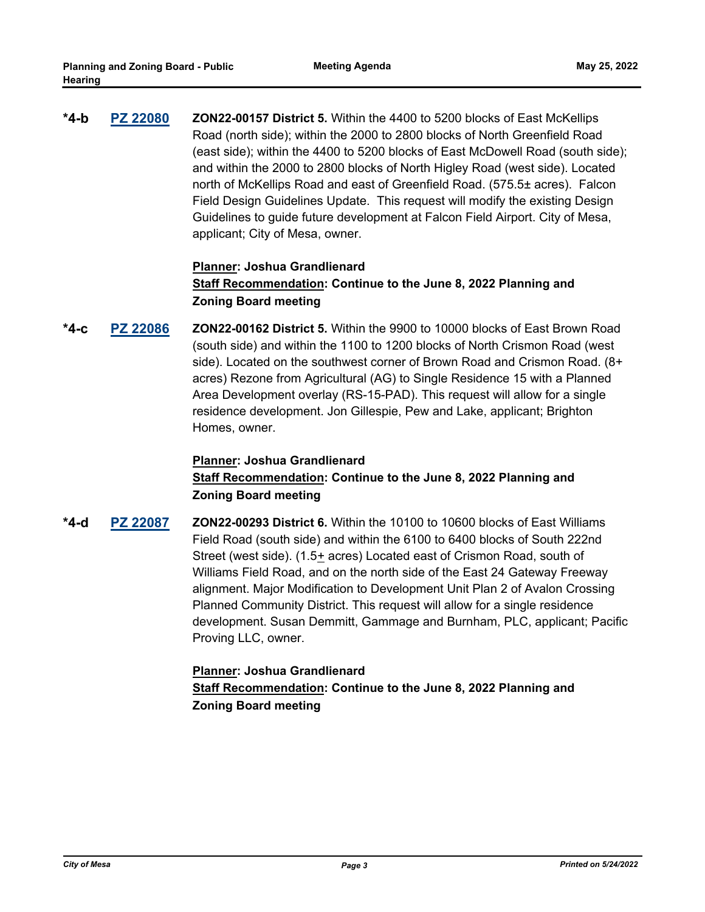**[PZ 22080](http://mesa.legistar.com/gateway.aspx?m=l&id=/matter.aspx?key=18490) ZON22-00157 District 5.** Within the 4400 to 5200 blocks of East McKellips Road (north side); within the 2000 to 2800 blocks of North Greenfield Road (east side); within the 4400 to 5200 blocks of East McDowell Road (south side); and within the 2000 to 2800 blocks of North Higley Road (west side). Located north of McKellips Road and east of Greenfield Road. (575.5± acres). Falcon Field Design Guidelines Update. This request will modify the existing Design Guidelines to guide future development at Falcon Field Airport. City of Mesa, applicant; City of Mesa, owner. **\*4-b**

## **Planner: Joshua Grandlienard Staff Recommendation: Continue to the June 8, 2022 Planning and Zoning Board meeting**

**[PZ 22086](http://mesa.legistar.com/gateway.aspx?m=l&id=/matter.aspx?key=18586) ZON22-00162 District 5.** Within the 9900 to 10000 blocks of East Brown Road (south side) and within the 1100 to 1200 blocks of North Crismon Road (west side). Located on the southwest corner of Brown Road and Crismon Road. (8+ acres) Rezone from Agricultural (AG) to Single Residence 15 with a Planned Area Development overlay (RS-15-PAD). This request will allow for a single residence development. Jon Gillespie, Pew and Lake, applicant; Brighton Homes, owner. **\*4-c**

# **Planner: Joshua Grandlienard Staff Recommendation: Continue to the June 8, 2022 Planning and Zoning Board meeting**

**[PZ 22087](http://mesa.legistar.com/gateway.aspx?m=l&id=/matter.aspx?key=18587) ZON22-00293 District 6.** Within the 10100 to 10600 blocks of East Williams Field Road (south side) and within the 6100 to 6400 blocks of South 222nd Street (west side). (1.5+ acres) Located east of Crismon Road, south of Williams Field Road, and on the north side of the East 24 Gateway Freeway alignment. Major Modification to Development Unit Plan 2 of Avalon Crossing Planned Community District. This request will allow for a single residence development. Susan Demmitt, Gammage and Burnham, PLC, applicant; Pacific Proving LLC, owner. **\*4-d**

## **Planner: Joshua Grandlienard Staff Recommendation: Continue to the June 8, 2022 Planning and Zoning Board meeting**